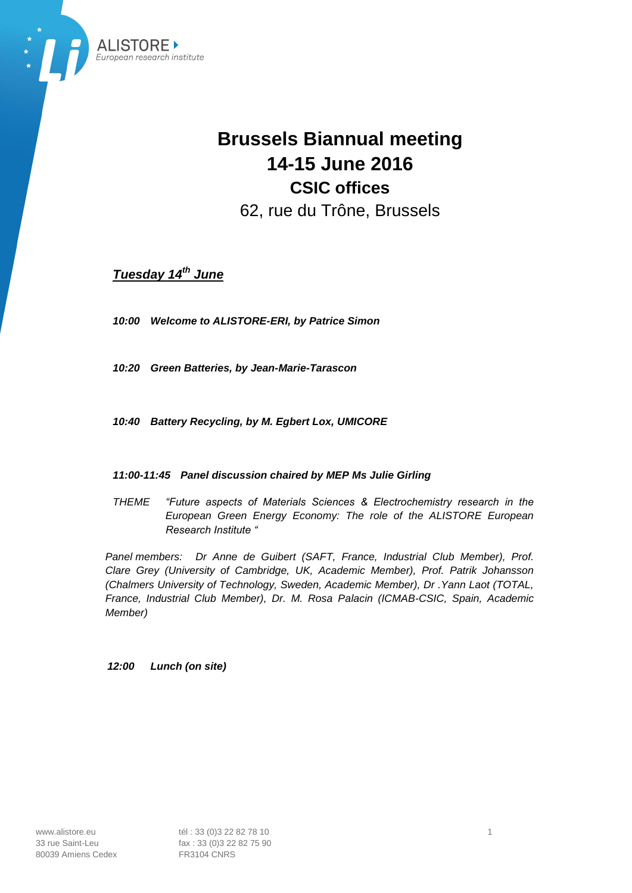

# **Brussels Biannual meeting 14-15 June 2016 CSIC offices** 62, rue du Trône, Brussels

*Tuesday 14 th June*

*10:00 Welcome to ALISTORE-ERI, by Patrice Simon*

*10:20 Green Batteries, by Jean-Marie-Tarascon*

*10:40 Battery Recycling, by M. Egbert Lox, UMICORE*

### *11:00-11:45 Panel discussion chaired by MEP Ms Julie Girling*

*THEME "Future aspects of Materials Sciences & Electrochemistry research in the European Green Energy Economy: The role of the ALISTORE European Research Institute "*

*Panel members: Dr Anne de Guibert (SAFT, France, Industrial Club Member), Prof. Clare Grey (University of Cambridge, UK, Academic Member), Prof. Patrik Johansson (Chalmers University of Technology, Sweden, Academic Member), Dr .Yann Laot (TOTAL, France, Industrial Club Member), Dr. M. Rosa Palacin (ICMAB-CSIC, Spain, Academic Member)*

*12:00 Lunch (on site)*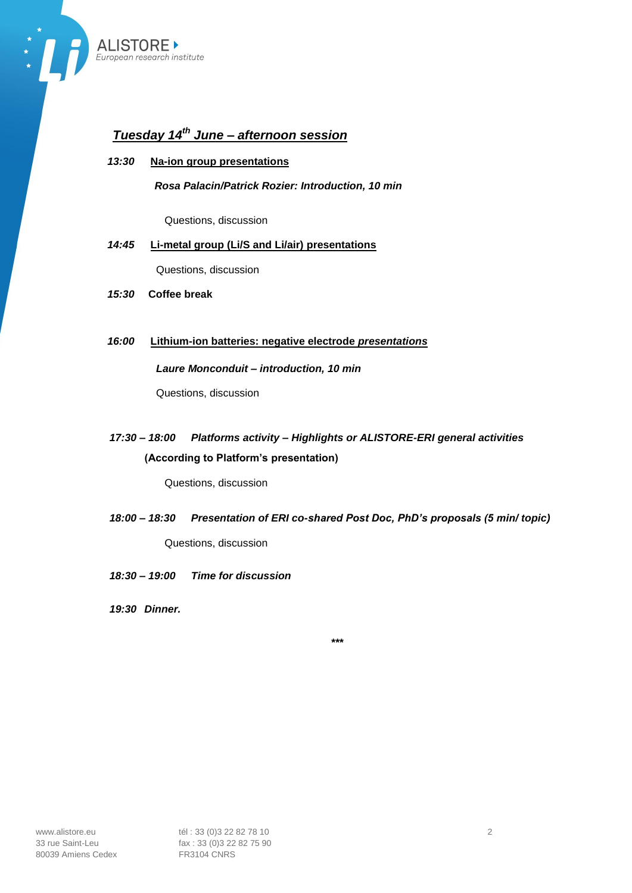

## *Tuesday 14th June – afternoon session*

### *13:30* **Na-ion group presentations**

*Rosa Palacin/Patrick Rozier: Introduction, 10 min*

Questions, discussion

### *14:45* **Li-metal group (Li/S and Li/air) presentations**

Questions, discussion

- *15:30* **Coffee break**
- *16:00* **Lithium-ion batteries: negative electrode** *presentations*

#### *Laure Monconduit – introduction, 10 min*

Questions, discussion

### *17:30 – 18:00 Platforms activity – Highlights or ALISTORE-ERI general activities* **(According to Platform's presentation)**

Questions, discussion

*18:00 – 18:30 Presentation of ERI co-shared Post Doc, PhD's proposals (5 min/ topic)* Questions, discussion

*18:30 – 19:00 Time for discussion*

*19:30 Dinner.*

*\*\*\**